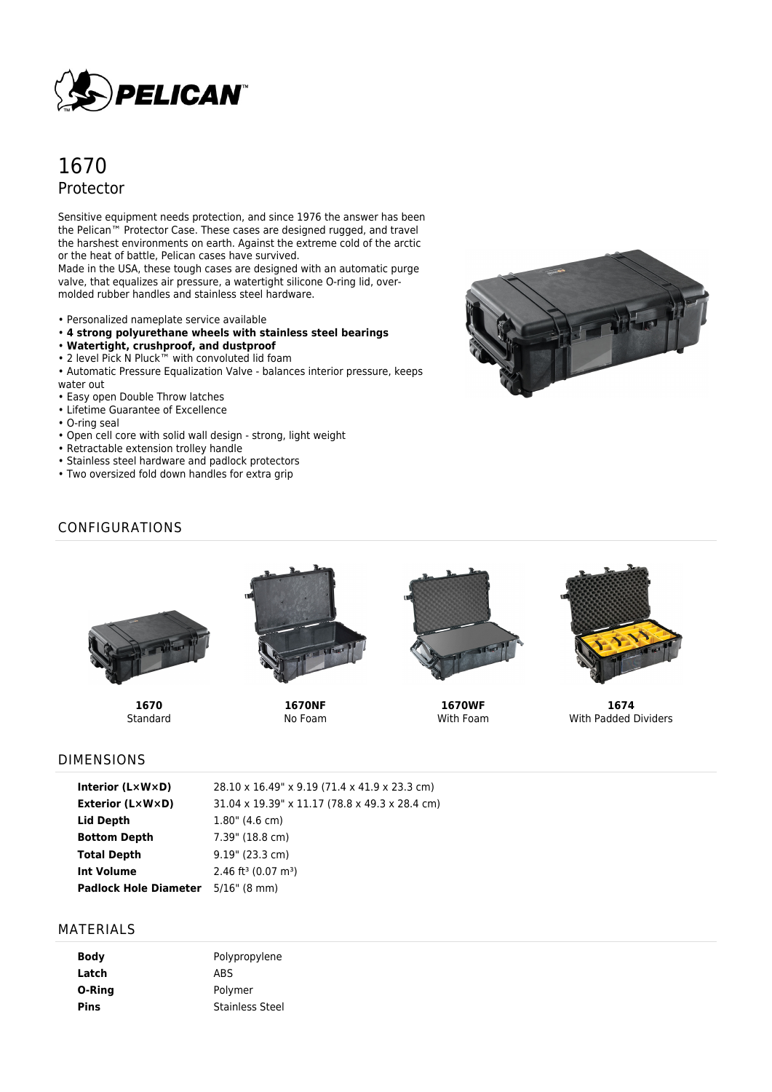

# 1670 Protector

Sensitive equipment needs protection, and since 1976 the answer has been the Pelican™ Protector Case. These cases are designed rugged, and travel the harshest environments on earth. Against the extreme cold of the arctic or the heat of battle, Pelican cases have survived.

Made in the USA, these tough cases are designed with an automatic purge valve, that equalizes air pressure, a watertight silicone O-ring lid, overmolded rubber handles and stainless steel hardware.

- Personalized nameplate service available
- **4 strong polyurethane wheels with stainless steel bearings**
- **Watertight, crushproof, and dustproof**
- 2 level Pick N Pluck™ with convoluted lid foam
- Automatic Pressure Equalization Valve balances interior pressure, keeps water out
- Easy open Double Throw latches
- Lifetime Guarantee of Excellence
- O-ring seal
- Open cell core with solid wall design strong, light weight
- Retractable extension trolley handle
- Stainless steel hardware and padlock protectors
- Two oversized fold down handles for extra grip



# CONFIGURATIONS



**1670 Standard** 



**1670NF** No Foam



**1670WF** With Foam



**1674** With Padded Dividers

## DIMENSIONS

| Interior (L×W×D)             | 28.10 x 16.49" x 9.19 (71.4 x 41.9 x 23.3 cm)  |
|------------------------------|------------------------------------------------|
| Exterior (L×W×D)             | 31.04 x 19.39" x 11.17 (78.8 x 49.3 x 28.4 cm) |
| Lid Depth                    | $1.80$ " (4.6 cm)                              |
| <b>Bottom Depth</b>          | 7.39" (18.8 cm)                                |
| Total Depth                  | $9.19$ " (23.3 cm)                             |
| Int Volume                   | 2.46 ft <sup>3</sup> (0.07 m <sup>3</sup> )    |
| <b>Padlock Hole Diameter</b> | 5/16" (8 mm)                                   |

### MATERIALS

| Body   | Polypropylene          |
|--------|------------------------|
| Latch  | ABS                    |
| O-Ring | Polymer                |
| Pins   | <b>Stainless Steel</b> |